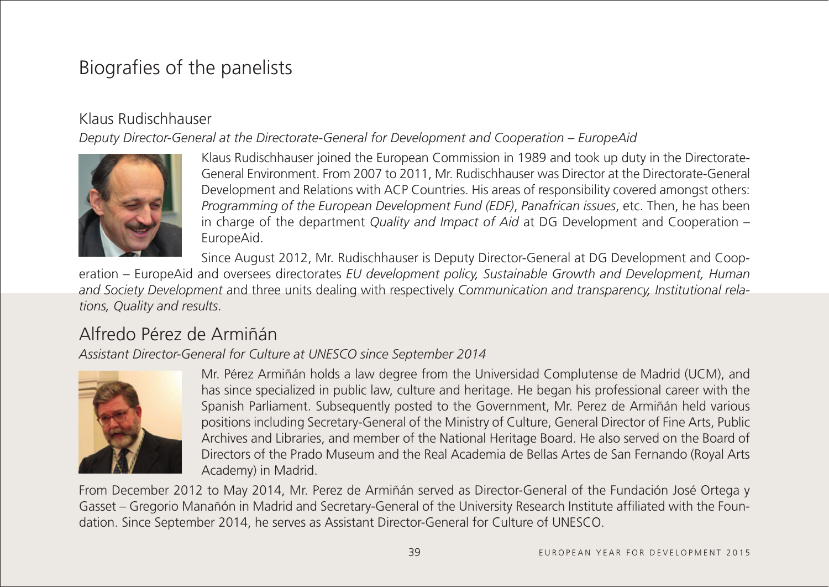# Biografies of the panelists

## Klaus Rudischhauser

*Deputy Director-General at the Directorate-General for Development and Cooperation – EuropeAid*



Klaus Rudischhauser joined the European Commission in 1989 and took up duty in the Directorate-General Environment. From 2007 to 2011, Mr. Rudischhauser was Director at the Directorate-General Development and Relations with ACP Countries. His areas of responsibility covered amongst others: *Programming of the European Development Fund (EDF)*, *Panafrican issues*, etc. Then, he has been in charge of the department *Quality and Impact of Aid* at DG Development and Cooperation – EuropeAid.

Since August 2012, Mr. Rudischhauser is Deputy Director-General at DG Development and Coop-

eration – EuropeAid and oversees directorates *EU development policy, Sustainable Growth and Development, Human and Society Development* and three units dealing with respectively *Communication and transparency, Institutional relations, Quality and results*.

# Alfredo Pérez de Armiñán

*Assistant Director-General for Culture at UNESCO since September 2014*



Mr. Pérez Armiñán holds a law degree from the Universidad Complutense de Madrid (UCM), and has since specialized in public law, culture and heritage. He began his professional career with the Spanish Parliament. Subsequently posted to the Government, Mr. Perez de Armiñán held various positions including Secretary-General of the Ministry of Culture, General Director of Fine Arts, Public Archives and Libraries, and member of the National Heritage Board. He also served on the Board of Directors of the Prado Museum and the Real Academia de Bellas Artes de San Fernando (Royal Arts Academy) in Madrid.

From December 2012 to May 2014, Mr. Perez de Armiñán served as Director-General of the Fundación José Ortega y Gasset – Gregorio Manañón in Madrid and Secretary-General of the University Research Institute affiliated with the Foundation. Since September 2014, he serves as Assistant Director-General for Culture of UNESCO.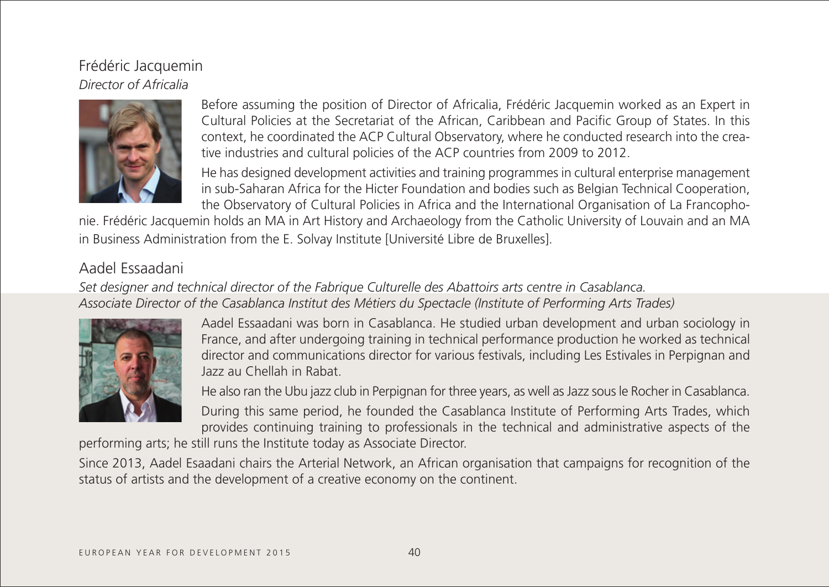# Frédéric Jacquemin *Director of Africalia*



Before assuming the position of Director of Africalia, Frédéric Jacquemin worked as an Expert in Cultural Policies at the Secretariat of the African, Caribbean and Pacific Group of States. In this context, he coordinated the ACP Cultural Observatory, where he conducted research into the creative industries and cultural policies of the ACP countries from 2009 to 2012.

He has designed development activities and training programmes in cultural enterprise management in sub-Saharan Africa for the Hicter Foundation and bodies such as Belgian Technical Cooperation, the Observatory of Cultural Policies in Africa and the International Organisation of La Francopho-

nie. Frédéric Jacquemin holds an MA in Art History and Archaeology from the Catholic University of Louvain and an MA in Business Administration from the E. Solvay Institute [Université Libre de Bruxelles].

## Aadel Essaadani

*Set designer and technical director of the Fabrique Culturelle des Abattoirs arts centre in Casablanca. Associate Director of the Casablanca Institut des Métiers du Spectacle (Institute of Performing Arts Trades)*



Aadel Essaadani was born in Casablanca. He studied urban development and urban sociology in France, and after undergoing training in technical performance production he worked as technical director and communications director for various festivals, including Les Estivales in Perpignan and Jazz au Chellah in Rabat.

He also ran the Ubu jazz club in Perpignan for three years, as well as Jazz sous le Rocher in Casablanca. During this same period, he founded the Casablanca Institute of Performing Arts Trades, which provides continuing training to professionals in the technical and administrative aspects of the

performing arts; he still runs the Institute today as Associate Director.

Since 2013, Aadel Esaadani chairs the Arterial Network, an African organisation that campaigns for recognition of the status of artists and the development of a creative economy on the continent.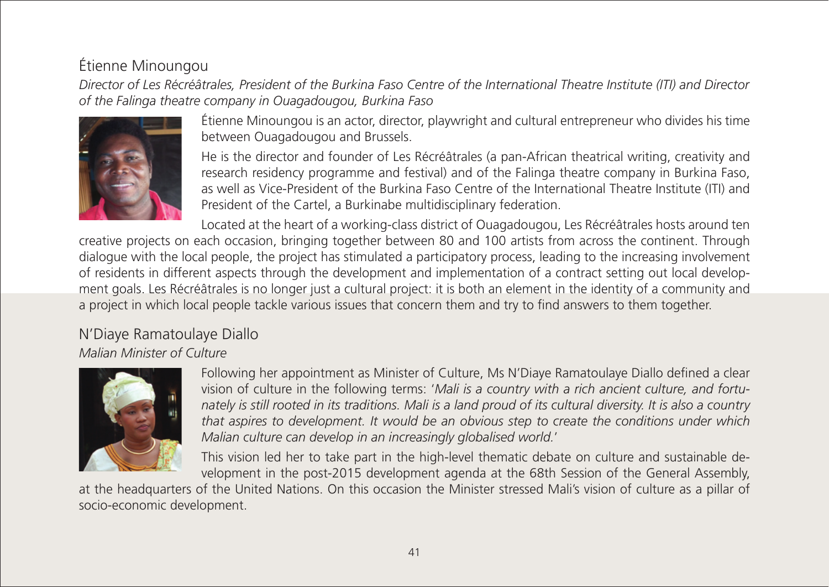# Étienne Minoungou

*Director of Les Récréâtrales, President of the Burkina Faso Centre of the International Theatre Institute (ITI) and Director of the Falinga theatre company in Ouagadougou, Burkina Faso*



Étienne Minoungou is an actor, director, playwright and cultural entrepreneur who divides his time between Ouagadougou and Brussels.

He is the director and founder of Les Récréâtrales (a pan-African theatrical writing, creativity and research residency programme and festival) and of the Falinga theatre company in Burkina Faso, as well as Vice-President of the Burkina Faso Centre of the International Theatre Institute (ITI) and President of the Cartel, a Burkinabe multidisciplinary federation.

Located at the heart of a working-class district of Ouagadougou, Les Récréâtrales hosts around ten creative projects on each occasion, bringing together between 80 and 100 artists from across the continent. Through dialogue with the local people, the project has stimulated a participatory process, leading to the increasing involvement of residents in different aspects through the development and implementation of a contract setting out local development goals. Les Récréâtrales is no longer just a cultural project: it is both an element in the identity of a community and a project in which local people tackle various issues that concern them and try to find answers to them together.

#### N'Diaye Ramatoulaye Diallo *Malian Minister of Culture*



Following her appointment as Minister of Culture, Ms N'Diaye Ramatoulaye Diallo defined a clear vision of culture in the following terms: '*Mali is a country with a rich ancient culture, and fortunately is still rooted in its traditions. Mali is a land proud of its cultural diversity. It is also a country that aspires to development. It would be an obvious step to create the conditions under which Malian culture can develop in an increasingly globalised world.*'

This vision led her to take part in the high-level thematic debate on culture and sustainable development in the post-2015 development agenda at the 68th Session of the General Assembly,

at the headquarters of the United Nations. On this occasion the Minister stressed Mali's vision of culture as a pillar of socio-economic development.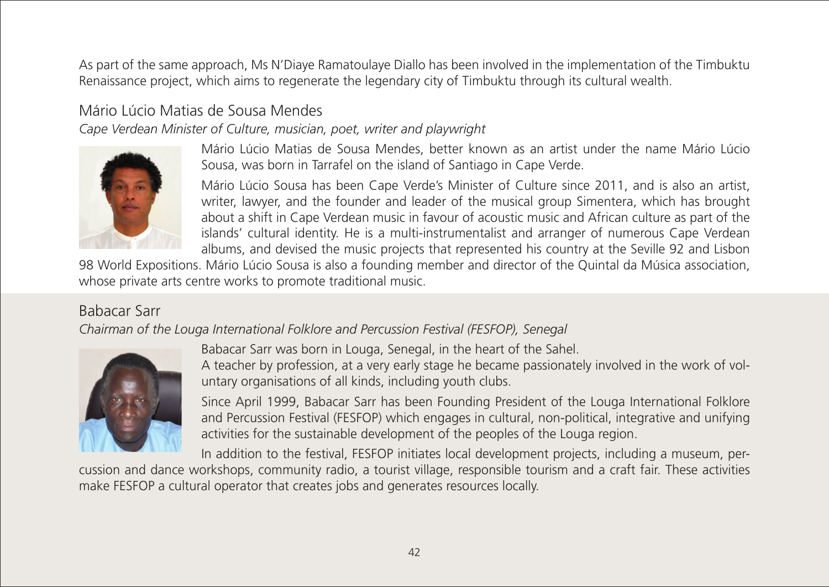As part of the same approach, Ms N'Diaye Ramatoulaye Diallo has been involved in the implementation of the Timbuktu Renaissance project, which aims to regenerate the legendary city of Timbuktu through its cultural wealth.

# Mário Lúcio Matias de Sousa Mendes

*Cape Verdean Minister of Culture, musician, poet, writer and playwright*



Mário Lúcio Matias de Sousa Mendes, better known as an artist under the name Mário Lúcio Sousa, was born in Tarrafel on the island of Santiago in Cape Verde.

Mário Lúcio Sousa has been Cape Verde's Minister of Culture since 2011, and is also an artist, writer, lawyer, and the founder and leader of the musical group Simentera, which has brought about a shift in Cape Verdean music in favour of acoustic music and African culture as part of the islands' cultural identity. He is a multi-instrumentalist and arranger of numerous Cape Verdean albums, and devised the music projects that represented his country at the Seville 92 and Lisbon

98 World Expositions. Mário Lúcio Sousa is also a founding member and director of the Quintal da Música association, whose private arts centre works to promote traditional music.

## Babacar Sarr

*Chairman of the Louga International Folklore and Percussion Festival (FESFOP), Senegal*



Babacar Sarr was born in Louga, Senegal, in the heart of the Sahel.

A teacher by profession, at a very early stage he became passionately involved in the work of voluntary organisations of all kinds, including youth clubs.

Since April 1999, Babacar Sarr has been Founding President of the Louga International Folklore and Percussion Festival (FESFOP) which engages in cultural, non-political, integrative and unifying activities for the sustainable development of the peoples of the Louga region.

In addition to the festival, FESFOP initiates local development projects, including a museum, percussion and dance workshops, community radio, a tourist village, responsible tourism and a craft fair. These activities make FESFOP a cultural operator that creates jobs and generates resources locally.